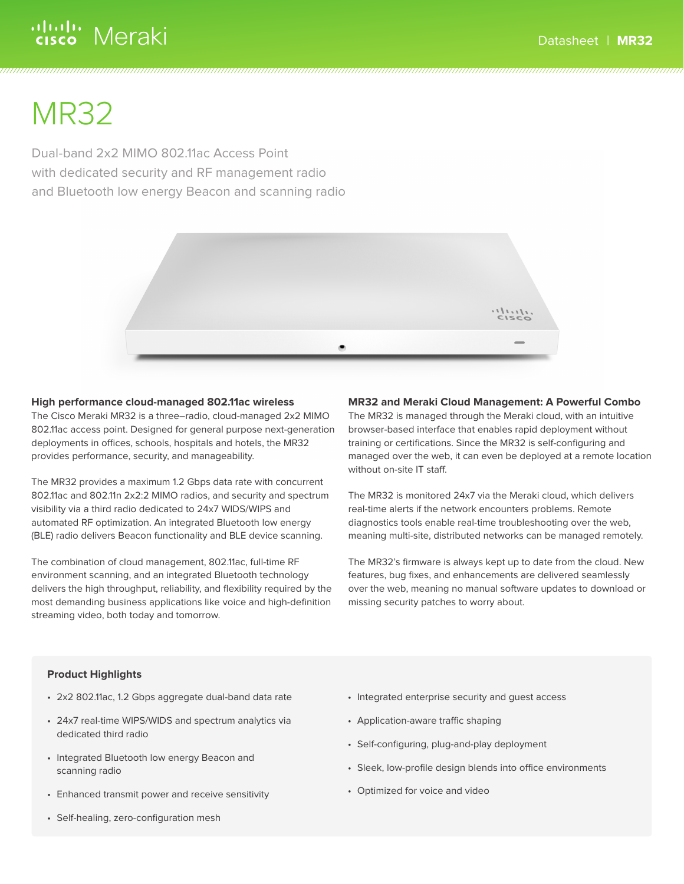# ululu Meraki

# MR32

Dual-band 2x2 MIMO 802.11ac Access Point with dedicated security and RF management radio and Bluetooth low energy Beacon and scanning radio



## **High performance cloud-managed 802.11ac wireless**

The Cisco Meraki MR32 is a three–radio, cloud-managed 2x2 MIMO 802.11ac access point. Designed for general purpose next-generation deployments in offices, schools, hospitals and hotels, the MR32 provides performance, security, and manageability.

The MR32 provides a maximum 1.2 Gbps data rate with concurrent 802.11ac and 802.11n 2x2:2 MIMO radios, and security and spectrum visibility via a third radio dedicated to 24x7 WIDS/WIPS and automated RF optimization. An integrated Bluetooth low energy (BLE) radio delivers Beacon functionality and BLE device scanning.

The combination of cloud management, 802.11ac, full-time RF environment scanning, and an integrated Bluetooth technology delivers the high throughput, reliability, and flexibility required by the most demanding business applications like voice and high-definition streaming video, both today and tomorrow.

# **MR32 and Meraki Cloud Management: A Powerful Combo**

The MR32 is managed through the Meraki cloud, with an intuitive browser-based interface that enables rapid deployment without training or certifications. Since the MR32 is self-configuring and managed over the web, it can even be deployed at a remote location without on-site IT staff.

The MR32 is monitored 24x7 via the Meraki cloud, which delivers real-time alerts if the network encounters problems. Remote diagnostics tools enable real-time troubleshooting over the web, meaning multi-site, distributed networks can be managed remotely.

The MR32's firmware is always kept up to date from the cloud. New features, bug fixes, and enhancements are delivered seamlessly over the web, meaning no manual software updates to download or missing security patches to worry about.

# **Product Highlights**

- 2x2 802.11ac, 1.2 Gbps aggregate dual-band data rate
- 24x7 real-time WIPS/WIDS and spectrum analytics via dedicated third radio
- Integrated Bluetooth low energy Beacon and scanning radio
- Enhanced transmit power and receive sensitivity
- Self-healing, zero-configuration mesh
- Integrated enterprise security and guest access
- Application-aware traffic shaping
- Self-configuring, plug-and-play deployment
- Sleek, low-profile design blends into office environments
- Optimized for voice and video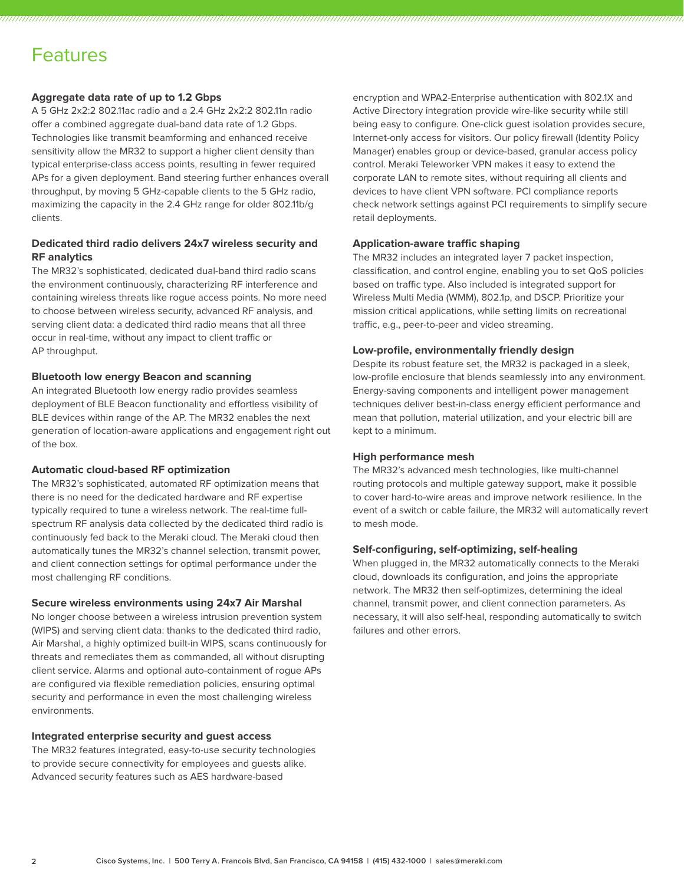# Features

## **Aggregate data rate of up to 1.2 Gbps**

A 5 GHz 2x2:2 802.11ac radio and a 2.4 GHz 2x2:2 802.11n radio offer a combined aggregate dual-band data rate of 1.2 Gbps. Technologies like transmit beamforming and enhanced receive sensitivity allow the MR32 to support a higher client density than typical enterprise-class access points, resulting in fewer required APs for a given deployment. Band steering further enhances overall throughput, by moving 5 GHz-capable clients to the 5 GHz radio, maximizing the capacity in the 2.4 GHz range for older 802.11b/g clients.

# **Dedicated third radio delivers 24x7 wireless security and RF analytics**

The MR32's sophisticated, dedicated dual-band third radio scans the environment continuously, characterizing RF interference and containing wireless threats like rogue access points. No more need to choose between wireless security, advanced RF analysis, and serving client data: a dedicated third radio means that all three occur in real-time, without any impact to client traffic or AP throughput.

### **Bluetooth low energy Beacon and scanning**

An integrated Bluetooth low energy radio provides seamless deployment of BLE Beacon functionality and effortless visibility of BLE devices within range of the AP. The MR32 enables the next generation of location-aware applications and engagement right out of the box.

### **Automatic cloud-based RF optimization**

The MR32's sophisticated, automated RF optimization means that there is no need for the dedicated hardware and RF expertise typically required to tune a wireless network. The real-time fullspectrum RF analysis data collected by the dedicated third radio is continuously fed back to the Meraki cloud. The Meraki cloud then automatically tunes the MR32's channel selection, transmit power, and client connection settings for optimal performance under the most challenging RF conditions.

### **Secure wireless environments using 24x7 Air Marshal**

No longer choose between a wireless intrusion prevention system (WIPS) and serving client data: thanks to the dedicated third radio, Air Marshal, a highly optimized built-in WIPS, scans continuously for threats and remediates them as commanded, all without disrupting client service. Alarms and optional auto-containment of rogue APs are configured via flexible remediation policies, ensuring optimal security and performance in even the most challenging wireless environments.

### **Integrated enterprise security and guest access**

The MR32 features integrated, easy-to-use security technologies to provide secure connectivity for employees and guests alike. Advanced security features such as AES hardware-based

encryption and WPA2-Enterprise authentication with 802.1X and Active Directory integration provide wire-like security while still being easy to configure. One-click guest isolation provides secure, Internet-only access for visitors. Our policy firewall (Identity Policy Manager) enables group or device-based, granular access policy control. Meraki Teleworker VPN makes it easy to extend the corporate LAN to remote sites, without requiring all clients and devices to have client VPN software. PCI compliance reports check network settings against PCI requirements to simplify secure retail deployments.

### **Application-aware traffic shaping**

The MR32 includes an integrated layer 7 packet inspection, classification, and control engine, enabling you to set QoS policies based on traffic type. Also included is integrated support for Wireless Multi Media (WMM), 802.1p, and DSCP. Prioritize your mission critical applications, while setting limits on recreational traffic, e.g., peer-to-peer and video streaming.

## **Low-profile, environmentally friendly design**

Despite its robust feature set, the MR32 is packaged in a sleek, low-profile enclosure that blends seamlessly into any environment. Energy-saving components and intelligent power management techniques deliver best-in-class energy efficient performance and mean that pollution, material utilization, and your electric bill are kept to a minimum.

### **High performance mesh**

The MR32's advanced mesh technologies, like multi-channel routing protocols and multiple gateway support, make it possible to cover hard-to-wire areas and improve network resilience. In the event of a switch or cable failure, the MR32 will automatically revert to mesh mode.

### **Self-configuring, self-optimizing, self-healing**

When plugged in, the MR32 automatically connects to the Meraki cloud, downloads its configuration, and joins the appropriate network. The MR32 then self-optimizes, determining the ideal channel, transmit power, and client connection parameters. As necessary, it will also self-heal, responding automatically to switch failures and other errors.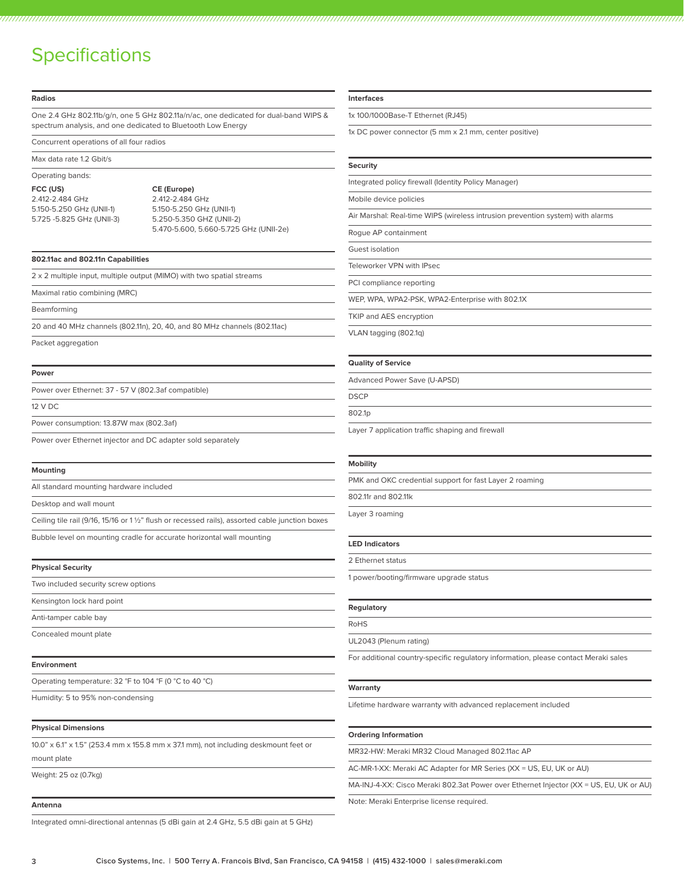# **Specifications**

| <b>Radios</b>                                                                        |                                                                                                                                                     |  |
|--------------------------------------------------------------------------------------|-----------------------------------------------------------------------------------------------------------------------------------------------------|--|
|                                                                                      | One 2.4 GHz 802.11b/g/n, one 5 GHz 802.11a/n/ac, one dedicated for dual-band WIPS &<br>spectrum analysis, and one dedicated to Bluetooth Low Energy |  |
| Concurrent operations of all four radios                                             |                                                                                                                                                     |  |
| Max data rate 1.2 Gbit/s                                                             |                                                                                                                                                     |  |
| Operating bands:                                                                     |                                                                                                                                                     |  |
| FCC (US)<br>2.412-2.484 GHz<br>5.150-5.250 GHz (UNII-1)<br>5.725 -5.825 GHz (UNII-3) | CE (Europe)<br>2.412-2.484 GHz<br>5.150-5.250 GHz (UNII-1)<br>5.250-5.350 GHZ (UNII-2)<br>5.470-5.600, 5.660-5.725 GHz (UNII-2e)                    |  |
| 802.11ac and 802.11n Capabilities                                                    |                                                                                                                                                     |  |
|                                                                                      | 2 x 2 multiple input, multiple output (MIMO) with two spatial streams                                                                               |  |
| Maximal ratio combining (MRC)                                                        |                                                                                                                                                     |  |
| Beamforming                                                                          |                                                                                                                                                     |  |
|                                                                                      | 20 and 40 MHz channels (802.11n), 20, 40, and 80 MHz channels (802.11ac)                                                                            |  |
| Packet aggregation                                                                   |                                                                                                                                                     |  |
| Power                                                                                |                                                                                                                                                     |  |
| Power over Ethernet: 37 - 57 V (802.3af compatible)                                  |                                                                                                                                                     |  |
| 12 V DC                                                                              |                                                                                                                                                     |  |
| Power consumption: 13.87W max (802.3af)                                              |                                                                                                                                                     |  |
| Power over Ethernet injector and DC adapter sold separately                          |                                                                                                                                                     |  |
| Mounting                                                                             |                                                                                                                                                     |  |
| All standard mounting hardware included                                              |                                                                                                                                                     |  |
| Desktop and wall mount                                                               |                                                                                                                                                     |  |
|                                                                                      | Ceiling tile rail (9/16, 15/16 or 1 1/2" flush or recessed rails), assorted cable junction boxes                                                    |  |
|                                                                                      | Bubble level on mounting cradle for accurate horizontal wall mounting                                                                               |  |
| <b>Physical Security</b>                                                             |                                                                                                                                                     |  |
| Two included security screw options                                                  |                                                                                                                                                     |  |
| Kensington lock hard point                                                           |                                                                                                                                                     |  |
| Anti-tamper cable bay                                                                |                                                                                                                                                     |  |
| Concealed mount plate                                                                |                                                                                                                                                     |  |
| Environment                                                                          |                                                                                                                                                     |  |
| Operating temperature: 32 °F to 104 °F (0 °C to 40 °C)                               |                                                                                                                                                     |  |
| Humidity: 5 to 95% non-condensing                                                    |                                                                                                                                                     |  |
| <b>Physical Dimensions</b>                                                           |                                                                                                                                                     |  |
|                                                                                      | $10.0"$ x 6.1" x 1.5" (253.4 mm x 155.8 mm x 37.1 mm), not including deskmount feet or                                                              |  |
| mount plate                                                                          |                                                                                                                                                     |  |

Weight: 25 oz (0.7kg)

#### **Antenna**

Integrated omni-directional antennas (5 dBi gain at 2.4 GHz, 5.5 dBi gain at 5 GHz)

#### **Interfaces**

1x 100/1000Base-T Ethernet (RJ45)

1x DC power connector (5 mm x 2.1 mm, center positive)

#### **Security**

Integrated policy firewall (Identity Policy Manager)

Mobile device policies

Air Marshal: Real-time WIPS (wireless intrusion prevention system) with alarms

Rogue AP containment

Guest isolation

Teleworker VPN with IPsec

PCI compliance reporting

WEP, WPA, WPA2-PSK, WPA2-Enterprise with 802.1X

TKIP and AES encryption

VLAN tagging (802.1q)

#### **Quality of Service**

Advanced Power Save (U-APSD)

**DSCP** 

802.1p

Layer 7 application traffic shaping and firewall

#### **Mobility**

PMK and OKC credential support for fast Layer 2 roaming

802.11r and 802.11k

Layer 3 roaming

#### **LED Indicators**

2 Ethernet status

1 power/booting/firmware upgrade status

#### **Regulatory**

RoHS

UL2043 (Plenum rating)

For additional country-specific regulatory information, please contact Meraki sales

#### **Warranty**

Lifetime hardware warranty with advanced replacement included

#### **Ordering Information**

MR32-HW: Meraki MR32 Cloud Managed 802.11ac AP

AC-MR-1-XX: Meraki AC Adapter for MR Series (XX = US, EU, UK or AU)

MA-INJ-4-XX: Cisco Meraki 802.3at Power over Ethernet Injector (XX = US, EU, UK or AU)

Note: Meraki Enterprise license required.